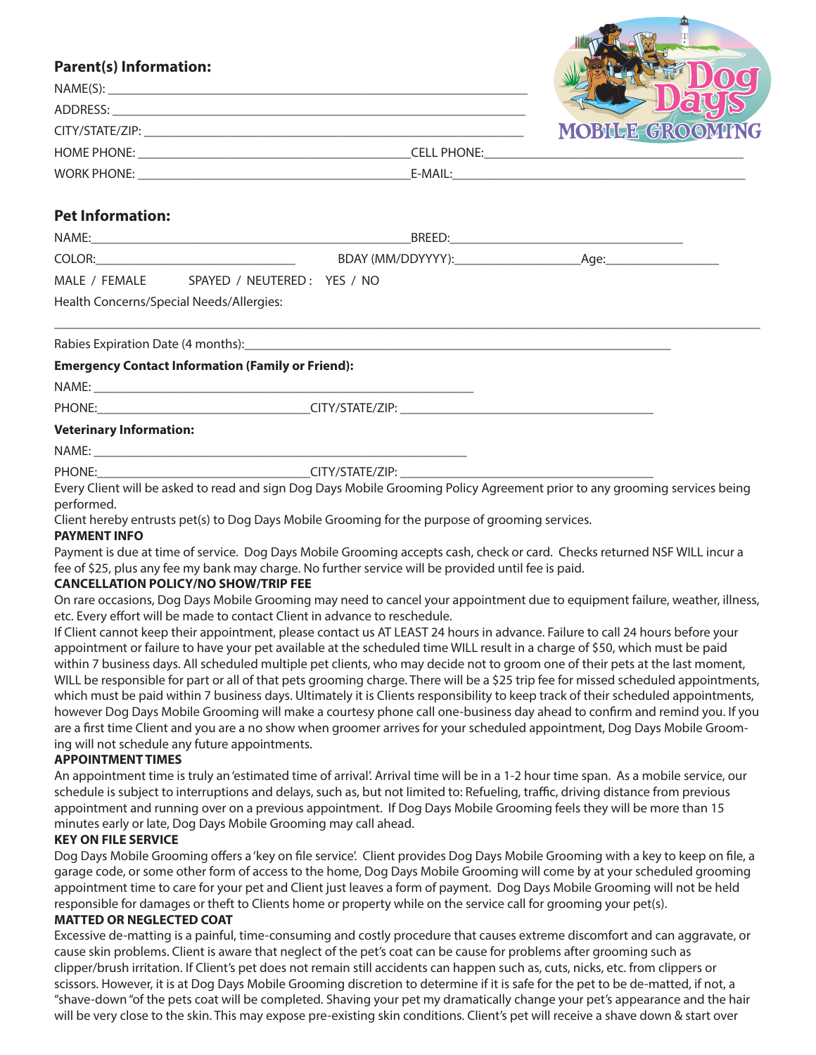# **Parent(s) Information:**

| $\mathbf{r}$ arent(3) $\mathbf{r}$ . The state $\mathbf{r}$ |                    |                 |
|-------------------------------------------------------------|--------------------|-----------------|
| NAME(S):                                                    |                    |                 |
| ADDRESS:                                                    |                    |                 |
| CITY/STATE/ZIP:                                             |                    | MOBILE GROOMING |
| <b>HOME PHONE:</b>                                          | <b>CELL PHONE:</b> |                 |
| WORK PHONE:                                                 | E-MAIL:            |                 |

## **Pet Information:**

| NAME:                                    |                             | BREED:            |      |  |
|------------------------------------------|-----------------------------|-------------------|------|--|
| COLOR:                                   |                             | BDAY (MM/DDYYYY): | Aae: |  |
| MALE / FEMALE                            | SPAYED / NEUTERED: YES / NO |                   |      |  |
| Health Concerns/Special Needs/Allergies: |                             |                   |      |  |

\_\_\_\_\_\_\_\_\_\_\_\_\_\_\_\_\_\_\_\_\_\_\_\_\_\_\_\_\_\_\_\_\_\_\_\_\_\_\_\_\_\_\_\_\_\_\_\_\_\_\_\_\_\_\_\_\_\_\_\_\_\_\_\_\_\_\_\_\_\_\_\_\_\_\_\_\_\_\_\_\_\_\_\_\_\_\_\_\_\_\_\_\_\_\_\_\_\_\_\_\_\_\_\_\_\_

Rabies Expiration Date (4 months):

#### **Emergency Contact Information (Family or Friend):**

NAME: \_\_\_\_\_\_\_\_\_\_\_\_\_\_\_\_\_\_\_\_\_\_\_\_\_\_\_\_\_\_\_\_\_\_\_\_\_\_\_\_\_\_\_\_\_\_\_\_\_\_\_\_\_\_\_\_\_

PHONE:\_\_\_\_\_\_\_\_\_\_\_\_\_\_\_\_\_\_\_\_\_\_\_\_\_\_\_\_\_\_\_\_CITY/STATE/ZIP: \_\_\_\_\_\_\_\_\_\_\_\_\_\_\_\_\_\_\_\_\_\_\_\_\_\_\_\_\_\_\_\_\_\_\_\_\_\_

## **Veterinary Information:**

NAME: \_\_\_\_\_\_\_\_\_\_\_\_\_\_\_\_\_\_\_\_\_\_\_\_\_\_\_\_\_\_\_\_\_\_\_\_\_\_\_\_\_\_\_\_\_\_\_\_\_\_\_\_\_\_\_\_

PHONE: THE PHONE: THE SET OF STATE/ZIP:  $\overline{C}$  CITY/STATE/ZIP:

Every Client will be asked to read and sign Dog Days Mobile Grooming Policy Agreement prior to any grooming services being performed.

Client hereby entrusts pet(s) to Dog Days Mobile Grooming for the purpose of grooming services.

## **PAYMENT INFO**

Payment is due at time of service. Dog Days Mobile Grooming accepts cash, check or card. Checks returned NSF WILL incur a fee of \$25, plus any fee my bank may charge. No further service will be provided until fee is paid.

## **CANCELLATION POLICY/NO SHOW/TRIP FEE**

On rare occasions, Dog Days Mobile Grooming may need to cancel your appointment due to equipment failure, weather, illness, etc. Every effort will be made to contact Client in advance to reschedule.

If Client cannot keep their appointment, please contact us AT LEAST 24 hours in advance. Failure to call 24 hours before your appointment or failure to have your pet available at the scheduled time WILL result in a charge of \$50, which must be paid within 7 business days. All scheduled multiple pet clients, who may decide not to groom one of their pets at the last moment, WILL be responsible for part or all of that pets grooming charge. There will be a \$25 trip fee for missed scheduled appointments, which must be paid within 7 business days. Ultimately it is Clients responsibility to keep track of their scheduled appointments, however Dog Days Mobile Grooming will make a courtesy phone call one-business day ahead to confirm and remind you. If you are a first time Client and you are a no show when groomer arrives for your scheduled appointment, Dog Days Mobile Grooming will not schedule any future appointments.

#### **APPOINTMENT TIMES**

An appointment time is truly an 'estimated time of arrival'. Arrival time will be in a 1-2 hour time span. As a mobile service, our schedule is subject to interruptions and delays, such as, but not limited to: Refueling, traffic, driving distance from previous appointment and running over on a previous appointment. If Dog Days Mobile Grooming feels they will be more than 15 minutes early or late, Dog Days Mobile Grooming may call ahead.

## **KEY ON FILE SERVICE**

Dog Days Mobile Grooming offers a 'key on file service'. Client provides Dog Days Mobile Grooming with a key to keep on file, a garage code, or some other form of access to the home, Dog Days Mobile Grooming will come by at your scheduled grooming appointment time to care for your pet and Client just leaves a form of payment. Dog Days Mobile Grooming will not be held responsible for damages or theft to Clients home or property while on the service call for grooming your pet(s).

## **MATTED OR NEGLECTED COAT**

Excessive de-matting is a painful, time-consuming and costly procedure that causes extreme discomfort and can aggravate, or cause skin problems. Client is aware that neglect of the pet's coat can be cause for problems after grooming such as clipper/brush irritation. If Client's pet does not remain still accidents can happen such as, cuts, nicks, etc. from clippers or scissors. However, it is at Dog Days Mobile Grooming discretion to determine if it is safe for the pet to be de-matted, if not, a "shave-down "of the pets coat will be completed. Shaving your pet my dramatically change your pet's appearance and the hair will be very close to the skin. This may expose pre-existing skin conditions. Client's pet will receive a shave down & start over